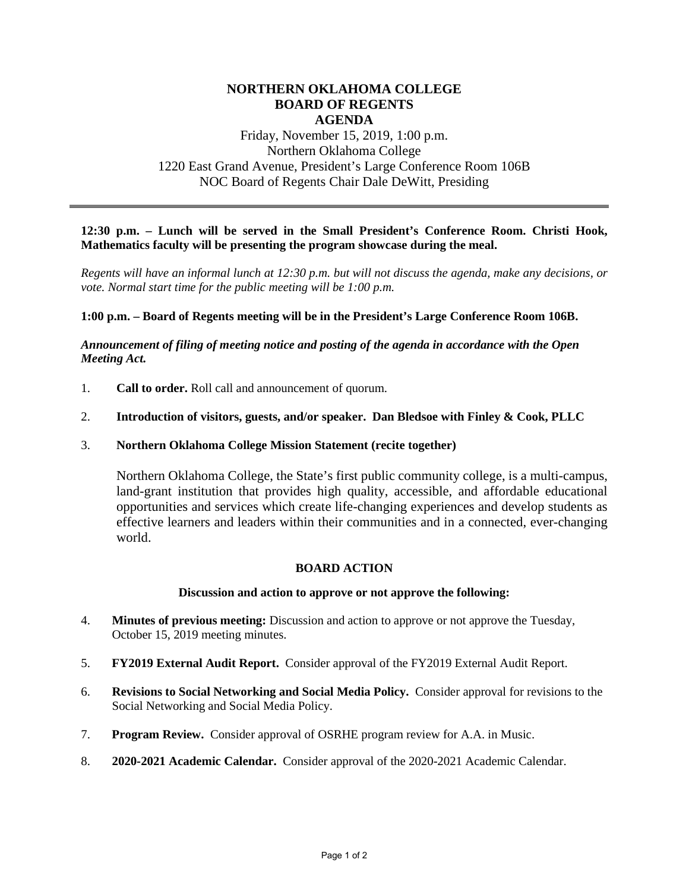# **NORTHERN OKLAHOMA COLLEGE BOARD OF REGENTS AGENDA**

# Friday, November 15, 2019, 1:00 p.m. Northern Oklahoma College 1220 East Grand Avenue, President's Large Conference Room 106B NOC Board of Regents Chair Dale DeWitt, Presiding

# **12:30 p.m. – Lunch will be served in the Small President's Conference Room. Christi Hook, Mathematics faculty will be presenting the program showcase during the meal.**

*Regents will have an informal lunch at 12:30 p.m. but will not discuss the agenda, make any decisions, or vote. Normal start time for the public meeting will be 1:00 p.m.* 

## **1:00 p.m. – Board of Regents meeting will be in the President's Large Conference Room 106B.**

## *Announcement of filing of meeting notice and posting of the agenda in accordance with the Open Meeting Act.*

1. **Call to order.** Roll call and announcement of quorum.

#### 2. **Introduction of visitors, guests, and/or speaker. Dan Bledsoe with Finley & Cook, PLLC**

#### 3. **Northern Oklahoma College Mission Statement (recite together)**

Northern Oklahoma College, the State's first public community college, is a multi-campus, land-grant institution that provides high quality, accessible, and affordable educational opportunities and services which create life-changing experiences and develop students as effective learners and leaders within their communities and in a connected, ever-changing world.

## **BOARD ACTION**

#### **Discussion and action to approve or not approve the following:**

- 4. **Minutes of previous meeting:** Discussion and action to approve or not approve the Tuesday, October 15, 2019 meeting minutes.
- 5. **FY2019 External Audit Report.** Consider approval of the FY2019 External Audit Report.
- 6. **Revisions to Social Networking and Social Media Policy.** Consider approval for revisions to the Social Networking and Social Media Policy.
- 7. **Program Review.** Consider approval of OSRHE program review for A.A. in Music.
- 8. **2020-2021 Academic Calendar.** Consider approval of the 2020-2021 Academic Calendar.